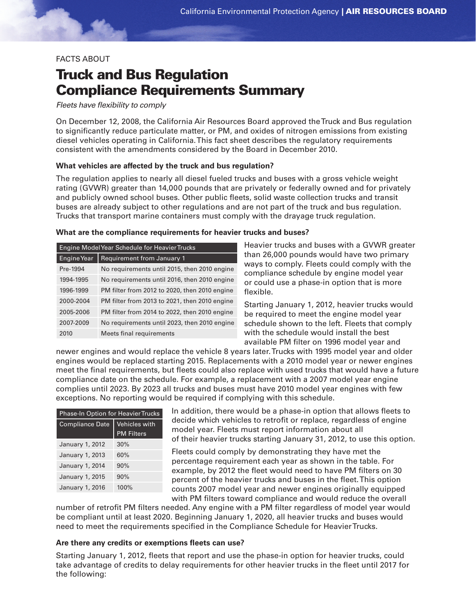# FACTS ABOUT

# Truck and Bus Regulation Compliance Requirements Summary

*Fleets have flexibility to comply*

On December 12, 2008, the California Air Resources Board approved the Truck and Bus regulation to significantly reduce particulate matter, or PM, and oxides of nitrogen emissions from existing diesel vehicles operating in California. This fact sheet describes the regulatory requirements consistent with the amendments considered by the Board in December 2010.

# **What vehicles are affected by the truck and bus regulation?**

The regulation applies to nearly all diesel fueled trucks and buses with a gross vehicle weight rating (GVWR) greater than 14,000 pounds that are privately or federally owned and for privately and publicly owned school buses. Other public fleets, solid waste collection trucks and transit buses are already subject to other regulations and are not part of the truck and bus regulation. Trucks that transport marine containers must comply with the drayage truck regulation.

#### **What are the compliance requirements for heavier trucks and buses?**

| Engine Model Year Schedule for Heavier Trucks |                                               |  |
|-----------------------------------------------|-----------------------------------------------|--|
| Engine Year                                   | <b>Requirement from January 1</b>             |  |
| Pre-1994                                      | No requirements until 2015, then 2010 engine  |  |
| 1994-1995                                     | No requirements until 2016, then 2010 engine  |  |
| 1996-1999                                     | PM filter from 2012 to 2020, then 2010 engine |  |
| 2000-2004                                     | PM filter from 2013 to 2021, then 2010 engine |  |
| 2005-2006                                     | PM filter from 2014 to 2022, then 2010 engine |  |
| 2007-2009                                     | No requirements until 2023, then 2010 engine  |  |
| 2010                                          | Meets final requirements                      |  |

Heavier trucks and buses with a GVWR greater than 26,000 pounds would have two primary ways to comply. Fleets could comply with the compliance schedule by engine model year or could use a phase-in option that is more flexible.

Starting January 1, 2012, heavier trucks would be required to meet the engine model year schedule shown to the left. Fleets that comply with the schedule would install the best available PM filter on 1996 model year and

newer engines and would replace the vehicle 8 years later. Trucks with 1995 model year and older engines would be replaced starting 2015. Replacements with a 2010 model year or newer engines meet the final requirements, but fleets could also replace with used trucks that would have a future compliance date on the schedule. For example, a replacement with a 2007 model year engine complies until 2023. By 2023 all trucks and buses must have 2010 model year engines with few exceptions. No reporting would be required if complying with this schedule.

| <b>Phase-In Option for Heavier Trucks</b> |                      |  |
|-------------------------------------------|----------------------|--|
| <b>Compliance Date</b>                    | <b>Vehicles with</b> |  |
|                                           | <b>PM Filters</b>    |  |
| January 1, 2012                           | 30%                  |  |
| January 1, 2013                           | 60%                  |  |
| January 1, 2014                           | 90%                  |  |
| January 1, 2015                           | 90%                  |  |
| January 1, 2016                           | 100%                 |  |

In addition, there would be a phase-in option that allows fleets to decide which vehicles to retrofit or replace, regardless of engine model year. Fleets must report information about all of their heavier trucks starting January 31, 2012, to use this option.

Fleets could comply by demonstrating they have met the percentage requirement each year as shown in the table. For example, by 2012 the fleet would need to have PM filters on 30 percent of the heavier trucks and buses in the fleet. This option counts 2007 model year and newer engines originally equipped with PM filters toward compliance and would reduce the overall

number of retrofit PM filters needed. Any engine with a PM filter regardless of model year would be compliant until at least 2020. Beginning January 1, 2020, all heavier trucks and buses would need to meet the requirements specified in the Compliance Schedule for Heavier Trucks.

# **Are there any credits or exemptions fleets can use?**

Starting January 1, 2012, fleets that report and use the phase-in option for heavier trucks, could take advantage of credits to delay requirements for other heavier trucks in the fleet until 2017 for the following: